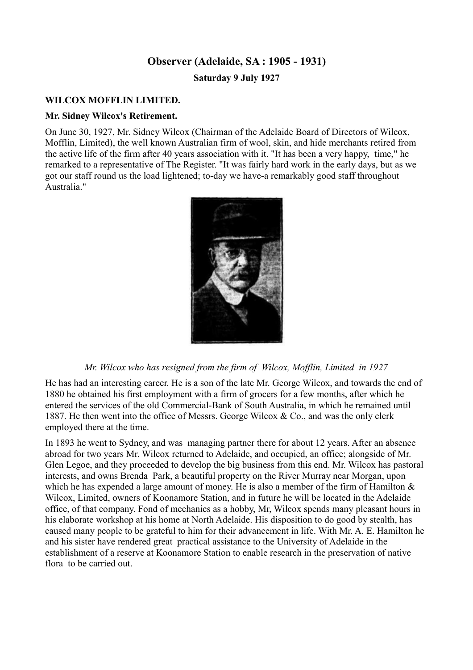## **Observer (Adelaide, SA : 1905 - 1931)**

**Saturday 9 July 1927**

### **WILCOX MOFFLIN LIMITED.**

#### **Mr. Sidney Wilcox's Retirement.**

On June 30, 1927, Mr. Sidney Wilcox (Chairman of the Adelaide Board of Directors of Wilcox, Mofflin, Limited), the well known Australian firm of wool, skin, and hide merchants retired from the active life of the firm after 40 years association with it. "It has been a very happy, time," he remarked to a representative of The Register. "It was fairly hard work in the early days, but as we got our staff round us the load lightened; to-day we have-a remarkably good staff throughout Australia."



#### *Mr. Wilcox who has resigned from the firm of Wilcox, Mofflin, Limited in 1927*

He has had an interesting career. He is a son of the late Mr. George Wilcox, and towards the end of 1880 he obtained his first employment with a firm of grocers for a few months, after which he entered the services of the old Commercial-Bank of South Australia, in which he remained until 1887. He then went into the office of Messrs. George Wilcox & Co., and was the only clerk employed there at the time.

In 1893 he went to Sydney, and was managing partner there for about 12 years. After an absence abroad for two years Mr. Wilcox returned to Adelaide, and occupied, an office; alongside of Mr. Glen Legoe, and they proceeded to develop the big business from this end. Mr. Wilcox has pastoral interests, and owns Brenda Park, a beautiful property on the River Murray near Morgan, upon which he has expended a large amount of money. He is also a member of the firm of Hamilton  $\&$ Wilcox, Limited, owners of Koonamore Station, and in future he will be located in the Adelaide office, of that company. Fond of mechanics as a hobby, Mr, Wilcox spends many pleasant hours in his elaborate workshop at his home at North Adelaide. His disposition to do good by stealth, has caused many people to be grateful to him for their advancement in life. With Mr. A. E. Hamilton he and his sister have rendered great practical assistance to the University of Adelaide in the establishment of a reserve at Koonamore Station to enable research in the preservation of native flora to be carried out.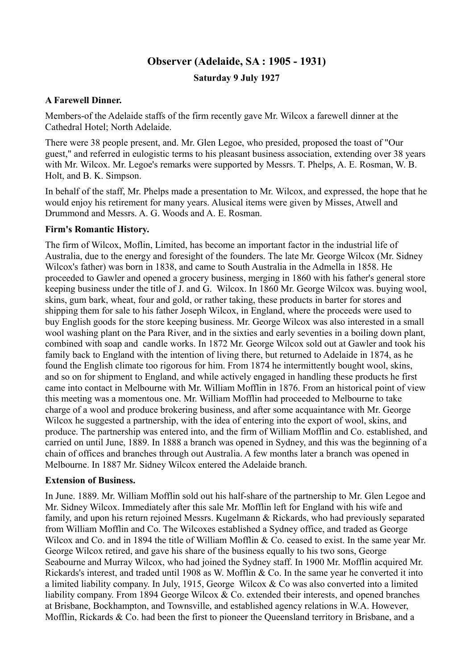## **Observer (Adelaide, SA : 1905 - 1931)**

**Saturday 9 July 1927**

## **A Farewell Dinner.**

Members-of the Adelaide staffs of the firm recently gave Mr. Wilcox a farewell dinner at the Cathedral Hotel; North Adelaide.

There were 38 people present, and. Mr. Glen Legoe, who presided, proposed the toast of "Our guest," and referred in eulogistic terms to his pleasant business association, extending over 38 years with Mr. Wilcox. Mr. Legoe's remarks were supported by Messrs. T. Phelps, A. E. Rosman, W. B. Holt, and B. K. Simpson.

In behalf of the staff, Mr. Phelps made a presentation to Mr. Wilcox, and expressed, the hope that he would enjoy his retirement for many years. Alusical items were given by Misses, Atwell and Drummond and Messrs. A. G. Woods and A. E. Rosman.

## **Firm's Romantic History.**

The firm of Wilcox, Moflin, Limited, has become an important factor in the industrial life of Australia, due to the energy and foresight of the founders. The late Mr. George Wilcox (Mr. Sidney Wilcox's father) was born in 1838, and came to South Australia in the Admella in 1858. He proceeded to Gawler and opened a grocery business, merging in 1860 with his father's general store keeping business under the title of J. and G. Wilcox. In 1860 Mr. George Wilcox was. buying wool, skins, gum bark, wheat, four and gold, or rather taking, these products in barter for stores and shipping them for sale to his father Joseph Wilcox, in England, where the proceeds were used to buy English goods for the store keeping business. Mr. George Wilcox was also interested in a small wool washing plant on the Para River, and in the sixties and early seventies in a boiling down plant, combined with soap and candle works. In 1872 Mr. George Wilcox sold out at Gawler and took his family back to England with the intention of living there, but returned to Adelaide in 1874, as he found the English climate too rigorous for him. From 1874 he intermittently bought wool, skins, and so on for shipment to England, and while actively engaged in handling these products he first came into contact in Melbourne with Mr. William Mofflin in 1876. From an historical point of view this meeting was a momentous one. Mr. William Mofflin had proceeded to Melbourne to take charge of a wool and produce brokering business, and after some acquaintance with Mr. George Wilcox he suggested a partnership, with the idea of entering into the export of wool, skins, and produce. The partnership was entered into, and the firm of William Mofflin and Co. established, and carried on until June, 1889. In 1888 a branch was opened in Sydney, and this was the beginning of a chain of offices and branches through out Australia. A few months later a branch was opened in Melbourne. In 1887 Mr. Sidney Wilcox entered the Adelaide branch.

#### **Extension of Business.**

In June. 1889. Mr. William Mofflin sold out his half-share of the partnership to Mr. Glen Legoe and Mr. Sidney Wilcox. Immediately after this sale Mr. Mofflin left for England with his wife and family, and upon his return rejoined Messrs. Kugelmann & Rickards, who had previously separated from William Mofflin and Co. The Wilcoxes established a Sydney office, and traded as George Wilcox and Co. and in 1894 the title of William Mofflin & Co. ceased to exist. In the same year Mr. George Wilcox retired, and gave his share of the business equally to his two sons, George Seabourne and Murray Wilcox, who had joined the Sydney staff. In 1900 Mr. Mofflin acquired Mr. Rickards's interest, and traded until 1908 as W. Mofflin & Co. In the same year he converted it into a limited liability company. In July, 1915, George Wilcox & Co was also converted into a limited liability company. From 1894 George Wilcox & Co. extended tbeir interests, and opened branches at Brisbane, Bockhampton, and Townsville, and established agency relations in W.A. However, Mofflin, Rickards & Co. had been the first to pioneer the Queensland territory in Brisbane, and a